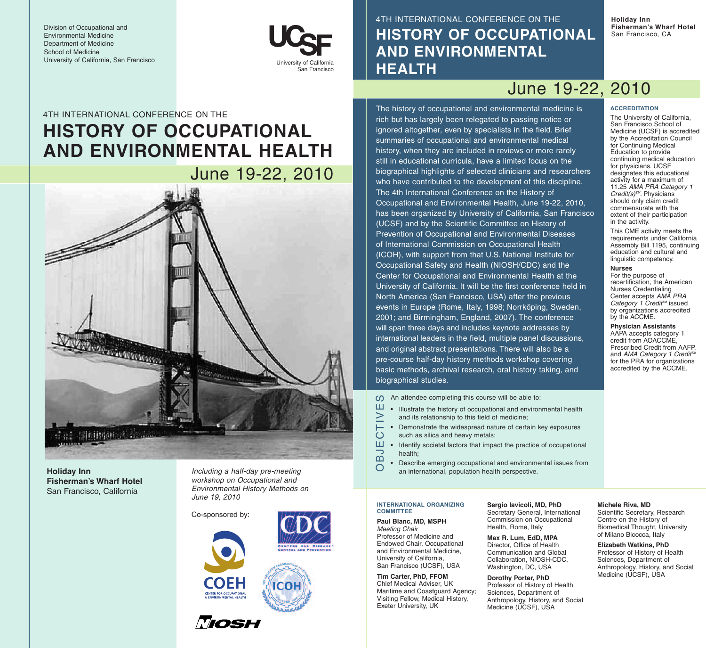Division of Occupational and Environmental Medicine Department of Medicine School of Medicine University of California, San Francisco



4TH INTERNATIONAL CONFERENCE ON THE **HISTORY OF OCCUPATIONAL AND ENVIRONMENTAL HEALTH**

The history of occupational and environmental medicine is rich but has largely been relegated to passing notice or ignored altogether, even by specialists in the field. Brief summaries of occupational and environmental medical history, when they are included in reviews or more rarely still in educational curricula, have a limited focus on the biographical highlights of selected clinicians and researchers who have contributed to the development of this discipline.

The 4th International Conference on the History of

(UCSF) and by the Scientific Committee on History of Prevention of Occupational and Environmental Diseases of International Commission on Occupational Health (ICOH), with support from that U.S. National Institute for Occupational Safety and Health (NIOSH/CDC) and the Center for Occupational and Environmental Health at the University of California. It will be the first conference held in North America (San Francisco, USA) after the previous events in Europe (Rome, Italy, 1998; Norrköping, Sweden, 2001; and Birmingham, England, 2007). The conference will span three days and includes keynote addresses by international leaders in the field, multiple panel discussions, and original abstract presentations. There will also be a pre-course half-day history methods workshop covering basic methods, archival research, oral history taking, and

Occupational and Environmental Health, June 19-22, 2010, has been organized by University of California, San Francisco **Holiday Inn Fisherman's Wharf Hotel** San Francisco, CA

# June 19-22, 2010

# 4TH INTERNATIONAL CONFERENCE ON THE **HISTORY OF OCCUPATIONAL AND ENVIRONMENTAL HEALTH**

June 19-22, 2010VARIAND CONTROL Citereur 2016年1月1日 2012年

**Holiday Inn Fisherman's Wharf Hotel** San Francisco, California

*Including a half-day pre-meeting workshop on Occupational and Environmental History Methods on June 19, 2010*

Co-sponsored by:





ICOI

### *Meeting Chair* Professor of Medicine and Endowed Chair, Occupational and Environmental Medicine, University of California, San Francisco (UCSF), USA

 $\geq$ ᄅ

 $\bigcirc$ 

っ

 $\overline{O}$ 

**COMMITTEE**

# **Tim Carter, PhD, FFOM** Chief Medical Adviser, UK Maritime and Coastguard Agency; Visiting Fellow, Medical History, Exeter University, UK

**INTERNATIONAL ORGANIZING**

**Paul Blanc, MD, MSPH**

biographical studies.

**Sergio Iavicoli, MD, PhD** Secretary General, International Commission on Occupational

Health, Rome, Italy **Max R. Lum, EdD, MPA** Director, Office of Health Communication and Global Collaboration, NIOSH-CDC, Washington, DC, USA

# **Dorothy Porter, PhD**

Sciences, Department of Anthropology, History, and Social Medicine (UCSF), USA

# **ACCREDITATION**

The University of California, San Francisco School of Medicine (UCSF) is accredited by the Accreditation Council for Continuing Medical Education to provide continuing medical education for physicians. UCSF designates this educational activity for a maximum of 11.25 *AMA PRA Category 1 Credit(s)TM*. Physicians should only claim credit commensurate with the extent of their participation in the activity.

This CME activity meets the requirements under California Assembly Bill 1195, continuing education and cultural and linguistic competency.

# **Nurses**

For the purpose of recertification, the American Nurses Credentialing Center accepts *AMA PRA Category 1 CreditTM* issued by organizations accredited by the ACCME.

**Physician Assistants** AAPA accepts category 1 credit from AOACCME, Prescribed Credit from AAFP, and AMA Category 1 Credit<sup>rin</sup> for the PRA for organizations accredited by the ACCME.

An attendee completing this course will be able to: OBJECTIVES Ш

- Illustrate the history of occupational and environmental health and its relationship to this field of medicine;
- Demonstrate the widespread nature of certain key exposures such as silica and heavy metals;
- Ш • Identify societal factors that impact the practice of occupational health; മ്
	- Describe emerging occupational and environmental issues from an international, population health perspective.

**Michele Riva, MD** Scientific Secretary, Research Centre on the History of Biomedical Thought, University of Milano Bicocca, Italy

# **Elizabeth Watkins, PhD** Professor of History of Health Sciences, Department of Anthropology, History, and Social

Professor of History of Health

Medicine (UCSF), USA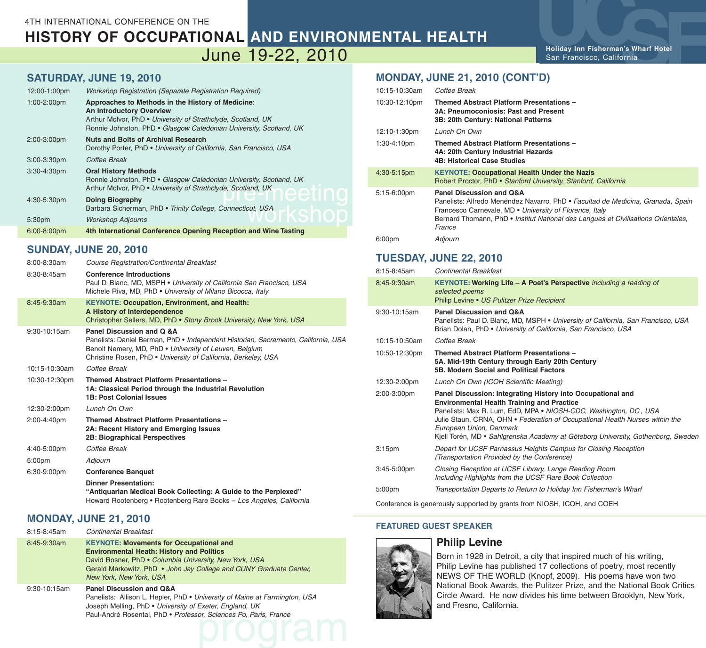# **HISTORY OF OCCUPATIONAL AND ENVIRONMENTAL HEALTH**

# June 19-22, 2010

**SATURDAY, JUNE 19, 2010**

| 12:00-1:00pm     | <b>Workshop Registration (Separate Registration Required)</b>                                                                                                                                                              |
|------------------|----------------------------------------------------------------------------------------------------------------------------------------------------------------------------------------------------------------------------|
| $1:00-2:00$ pm   | Approaches to Methods in the History of Medicine:<br><b>An Introductory Overview</b><br>Arthur McIvor, PhD • University of Strathclyde, Scotland, UK<br>Ronnie Johnston, PhD • Glasgow Caledonian University, Scotland, UK |
| 2:00-3:00pm      | <b>Nuts and Bolts of Archival Research</b><br>Dorothy Porter, PhD • University of California, San Francisco, USA                                                                                                           |
| $3:00 - 3:30$ pm | Coffee Break                                                                                                                                                                                                               |
| $3:30-4:30$ pm   | <b>Oral History Methods</b><br>Ronnie Johnston, PhD • Glasgow Caledonian University, Scotland, UK<br>Arthur McIvor, PhD • University of Strathclyde, Scotland, UK                                                          |
| 4:30-5:30pm      | <b>Doing Biography</b><br>Barbara Sicherman, PhD · Trinity College, Connecticut, USA                                                                                                                                       |
| 5:30pm           | <b>Workshop Adjourns</b>                                                                                                                                                                                                   |
| 6:00-8:00pm      | 4th International Conference Opening Reception and Wine Tasting                                                                                                                                                            |

# **SUNDAY, JUNE 20, 2010**

| 8:00-8:30am   | <b>Course Registration/Continental Breakfast</b>                                                                                                                                                                                            |
|---------------|---------------------------------------------------------------------------------------------------------------------------------------------------------------------------------------------------------------------------------------------|
| 8:30-8:45am   | <b>Conference Introductions</b><br>Paul D. Blanc, MD, MSPH • University of California San Francisco, USA<br>Michele Riva, MD. PhD • University of Milano Bicocca, Italy                                                                     |
| 8:45-9:30am   | <b>KEYNOTE: Occupation, Environment, and Health:</b><br>A History of Interdependence<br>Christopher Sellers, MD, PhD • Stony Brook University, New York, USA                                                                                |
| 9:30-10:15am  | Panel Discussion and Q &A<br>Panelists: Daniel Berman, PhD • Independent Historian, Sacramento, California, USA<br>Benoit Nemery, MD, PhD . University of Leuven, Belgium<br>Christine Rosen, PhD . University of California, Berkeley, USA |
| 10:15-10:30am | Coffee Break                                                                                                                                                                                                                                |
| 10:30-12:30pm | <b>Themed Abstract Platform Presentations -</b><br>1A: Classical Period through the Industrial Revolution<br><b>1B: Post Colonial Issues</b>                                                                                                |
| 12:30-2:00pm  | Lunch On Own                                                                                                                                                                                                                                |
| 2:00-4:40pm   | <b>Themed Abstract Platform Presentations -</b><br>2A: Recent History and Emerging Issues<br><b>2B: Biographical Perspectives</b>                                                                                                           |
| 4:40-5:00pm   | Coffee Break                                                                                                                                                                                                                                |
| 5:00pm        | Adjourn                                                                                                                                                                                                                                     |
| 6:30-9:00pm   | <b>Conference Banquet</b>                                                                                                                                                                                                                   |
|               | <b>Dinner Presentation:</b><br>"Antiquarian Medical Book Collecting: A Guide to the Perplexed"<br>Howard Rootenberg • Rootenberg Rare Books - Los Angeles, California                                                                       |

# **MONDAY, JUNE 21, 2010**

| 8:15-8:45am  | <b>Continental Breakfast</b>                                                                                                                                                                                                                                  |
|--------------|---------------------------------------------------------------------------------------------------------------------------------------------------------------------------------------------------------------------------------------------------------------|
| 8:45-9:30am  | <b>KEYNOTE: Movements for Occupational and</b><br><b>Environmental Heath: History and Politics</b><br>David Rosner, PhD • Columbia University, New York, USA<br>Gerald Markowitz, PhD • John Jay College and CUNY Graduate Center,<br>New York, New York, USA |
| 9:30-10:15am | <b>Panel Discussion and Q&amp;A</b><br>Panelists: Allison L. Hepler, PhD • University of Maine at Farmington, USA<br>Joseph Melling, PhD • University of Exeter, England, UK<br>Paul-André Rosental, PhD · Professor, Sciences Po, Paris, France              |

# **MONDAY, JUNE 21, 2010 (CONT'D)**

| 10:15-10:30am                 | Coffee Break                                                                                                                                                                                                                                                          |  |
|-------------------------------|-----------------------------------------------------------------------------------------------------------------------------------------------------------------------------------------------------------------------------------------------------------------------|--|
| 10:30-12:10pm                 | Themed Abstract Platform Presentations -<br>3A: Pneumoconiosis: Past and Present<br>3B: 20th Century: National Patterns                                                                                                                                               |  |
| 12:10-1:30pm                  | Lunch On Own                                                                                                                                                                                                                                                          |  |
| 1:30-4:10pm                   | Themed Abstract Platform Presentations -<br>4A: 20th Century Industrial Hazards<br><b>4B: Historical Case Studies</b>                                                                                                                                                 |  |
| 4:30-5:15pm                   | <b>KEYNOTE: Occupational Health Under the Nazis</b><br>Robert Proctor, PhD · Stanford University, Stanford, California                                                                                                                                                |  |
| 5:15-6:00pm                   | Panel Discussion and Q&A<br>Panelists: Alfredo Menéndez Navarro, PhD · Facultad de Medicina, Granada, Spain<br>Francesco Carnevale, MD . University of Florence, Italy<br>Bernard Thomann, PhD • Institut National des Langues et Civilisations Orientales,<br>France |  |
| 6:00 <sub>pm</sub>            | Adjourn                                                                                                                                                                                                                                                               |  |
| <b>TUESDAY, JUNE 22, 2010</b> |                                                                                                                                                                                                                                                                       |  |
| 8:15-8:45am                   | <b>Continental Breakfast</b>                                                                                                                                                                                                                                          |  |
| 8:45-9:30am                   | KEYNOTE: Working Life - A Poet's Perspective including a reading of<br>selected poems<br>Philip Levine • US Pulitzer Prize Recipient                                                                                                                                  |  |
| 9:30-10:15am                  | Panel Discussion and Q&A<br>Panelists: Paul D. Blanc, MD, MSPH . University of California, San Francisco, USA<br>Brian Dolan, PhD • University of California, San Francisco, USA                                                                                      |  |
| 10:15-10:50am                 | Coffee Break                                                                                                                                                                                                                                                          |  |
| 10:50-12:30pm                 | Themed Abstract Platform Presentations -<br>5A. Mid-19th Century through Farly 20th Century                                                                                                                                                                           |  |

|                    | <b>JA. MIU-TJUI CEIILUI V UITOUUII LAITV ZUUT CEIILUI V</b><br>5B. Modern Social and Political Factors                                                                                                                                                                                                                                                                              |
|--------------------|-------------------------------------------------------------------------------------------------------------------------------------------------------------------------------------------------------------------------------------------------------------------------------------------------------------------------------------------------------------------------------------|
| 12:30-2:00pm       | Lunch On Own (ICOH Scientific Meeting)                                                                                                                                                                                                                                                                                                                                              |
| 2:00-3:00pm        | Panel Discussion: Integrating History into Occupational and<br><b>Environmental Health Training and Practice</b><br>Panelists: Max R. Lum, EdD, MPA • NIOSH-CDC, Washington, DC, USA<br>Julie Staun, CRNA, OHN • Federation of Occupational Health Nurses within the<br>European Union, Denmark<br>Kjell Torén, MD • Sahlgrenska Academy at Göteborg University, Gothenborg, Sweden |
| 3:15 <sub>pm</sub> | Depart for UCSF Parnassus Heights Campus for Closing Reception<br>(Transportation Provided by the Conference)                                                                                                                                                                                                                                                                       |
| $3:45 - 5:00$ pm   | Closing Reception at UCSF Library, Lange Reading Room<br>Including Highlights from the UCSF Rare Book Collection                                                                                                                                                                                                                                                                    |
| 5:00pm             | Transportation Departs to Return to Holiday Inn Fisherman's Wharf                                                                                                                                                                                                                                                                                                                   |

Conference is generously supported by grants from NIOSH, ICOH, and COEH

# **FEATURED GUEST SPEAKER**

# **Philip Levine**